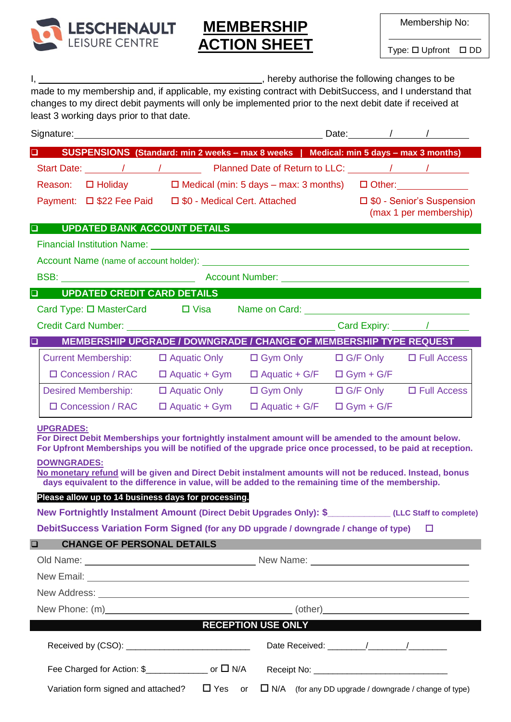

## **MEMBERSHIP ACTION SHEET**

Membership No:

Type: □ Upfront □ DD

| <u>і, применен</u>                                                                                                                                                                                                                   |                      | _________________________, hereby authorise the following changes to be |                  |                                    |
|--------------------------------------------------------------------------------------------------------------------------------------------------------------------------------------------------------------------------------------|----------------------|-------------------------------------------------------------------------|------------------|------------------------------------|
| made to my membership and, if applicable, my existing contract with DebitSuccess, and I understand that                                                                                                                              |                      |                                                                         |                  |                                    |
| changes to my direct debit payments will only be implemented prior to the next debit date if received at<br>least 3 working days prior to that date.                                                                                 |                      |                                                                         |                  |                                    |
|                                                                                                                                                                                                                                      |                      |                                                                         |                  |                                    |
| □ SUSPENSIONS (Standard: min 2 weeks – max 8 weeks   Medical: min 5 days – max 3 months)                                                                                                                                             |                      |                                                                         |                  |                                    |
|                                                                                                                                                                                                                                      |                      |                                                                         |                  |                                    |
| Reason: $\Box$ Holiday $\Box$ Medical (min: 5 days – max: 3 months) $\Box$ Other:                                                                                                                                                    |                      |                                                                         |                  |                                    |
| Payment: □ \$22 Fee Paid □ \$0 - Medical Cert. Attached □ \$0 - Senior's Suspension                                                                                                                                                  |                      |                                                                         |                  |                                    |
|                                                                                                                                                                                                                                      |                      |                                                                         |                  | (max 1 per membership)             |
| <b>UPDATED BANK ACCOUNT DETAILS</b><br>$\Box$                                                                                                                                                                                        |                      |                                                                         |                  |                                    |
| Financial Institution Name: <u>contract and a series of the series of the series of the series of the series of the series of the series of the series of the series of the series of the series of the series of the series of </u> |                      |                                                                         |                  |                                    |
|                                                                                                                                                                                                                                      |                      |                                                                         |                  |                                    |
| BSB: Network and Account Number: Network and Account Number: Network and Account Number: Network and Account Number:                                                                                                                 |                      |                                                                         |                  |                                    |
| <b>QUE SECONTED CREDIT CARD DETAILS</b>                                                                                                                                                                                              |                      |                                                                         |                  |                                    |
| Card Type: □ MasterCard □ Visa Name on Card: ___________________________________                                                                                                                                                     |                      |                                                                         |                  |                                    |
|                                                                                                                                                                                                                                      |                      |                                                                         |                  |                                    |
| MEMBERSHIP UPGRADE / DOWNGRADE / CHANGE OF MEMBERSHIP TYPE REQUEST<br>□                                                                                                                                                              |                      |                                                                         |                  |                                    |
| Current Membership: □ Aquatic Only □ Gym Only □ G/F Only □ Full Access                                                                                                                                                               |                      |                                                                         |                  |                                    |
| $\Box$ Concession / RAC $\Box$ Aquatic + Gym                                                                                                                                                                                         |                      | $\Box$ Aquatic + G/F $\Box$ Gym + G/F                                   |                  |                                    |
| Desired Membership:                                                                                                                                                                                                                  | $\Box$ Aquatic Only  | $\Box$ Gym Only                                                         |                  | $\Box$ G/F Only $\Box$ Full Access |
| □ Concession / RAC                                                                                                                                                                                                                   | $\Box$ Aquatic + Gym | $\Box$ Aquatic + G/F                                                    | $\Box$ Gym + G/F |                                    |
| <b>UPGRADES:</b>                                                                                                                                                                                                                     |                      |                                                                         |                  |                                    |
| For Direct Debit Memberships your fortnightly instalment amount will be amended to the amount below.<br>For Upfront Memberships you will be notified of the upgrade price once processed, to be paid at reception.                   |                      |                                                                         |                  |                                    |
| <b>DOWNGRADES:</b>                                                                                                                                                                                                                   |                      |                                                                         |                  |                                    |
| No monetary refund will be given and Direct Debit instalment amounts will not be reduced. Instead, bonus<br>days equivalent to the difference in value, will be added to the remaining time of the membership.                       |                      |                                                                         |                  |                                    |
| Please allow up to 14 business days for processing.                                                                                                                                                                                  |                      |                                                                         |                  |                                    |
| New Fortnightly Instalment Amount (Direct Debit Upgrades Only): \$___________(LLC Staff to complete)                                                                                                                                 |                      |                                                                         |                  |                                    |
| DebitSuccess Variation Form Signed (for any DD upgrade / downgrade / change of type)                                                                                                                                                 |                      |                                                                         |                  | $\Box$                             |
| <b>CHANGE OF PERSONAL DETAILS</b><br>$\Box$                                                                                                                                                                                          |                      |                                                                         |                  |                                    |
|                                                                                                                                                                                                                                      |                      |                                                                         |                  |                                    |
|                                                                                                                                                                                                                                      |                      |                                                                         |                  |                                    |
|                                                                                                                                                                                                                                      |                      |                                                                         |                  |                                    |
| New Phone: (m) (0ther) (0ther)                                                                                                                                                                                                       |                      |                                                                         |                  |                                    |
|                                                                                                                                                                                                                                      |                      | <b>Example 2018 RECEPTION USE ONLY</b>                                  |                  |                                    |
|                                                                                                                                                                                                                                      |                      |                                                                         |                  |                                    |
|                                                                                                                                                                                                                                      |                      |                                                                         |                  |                                    |
| Variation form signed and attached? $\square$ Yes or $\square$ N/A (for any DD upgrade / downgrade / change of type)                                                                                                                 |                      |                                                                         |                  |                                    |